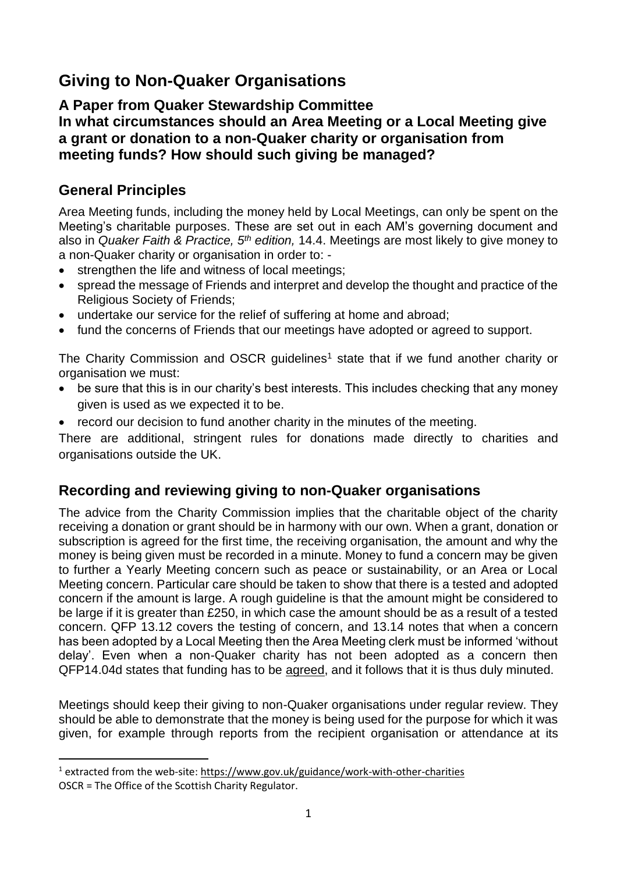# **Giving to Non-Quaker Organisations**

## **A Paper from Quaker Stewardship Committee In what circumstances should an Area Meeting or a Local Meeting give a grant or donation to a non-Quaker charity or organisation from meeting funds? How should such giving be managed?**

## **General Principles**

 $\overline{a}$ 

Area Meeting funds, including the money held by Local Meetings, can only be spent on the Meeting's charitable purposes. These are set out in each AM's governing document and also in *Quaker Faith & Practice, 5th edition,* 14.4. Meetings are most likely to give money to a non-Quaker charity or organisation in order to: -

- strengthen the life and witness of local meetings;
- spread the message of Friends and interpret and develop the thought and practice of the Religious Society of Friends;
- undertake our service for the relief of suffering at home and abroad;
- fund the concerns of Friends that our meetings have adopted or agreed to support.

The Charity Commission and OSCR guidelines<sup>1</sup> state that if we fund another charity or organisation we must:

- be sure that this is in our charity's best interests. This includes checking that any money given is used as we expected it to be.
- record our decision to fund another charity in the minutes of the meeting.

There are additional, stringent rules for donations made directly to charities and organisations outside the UK.

## **Recording and reviewing giving to non-Quaker organisations**

The advice from the Charity Commission implies that the charitable object of the charity receiving a donation or grant should be in harmony with our own. When a grant, donation or subscription is agreed for the first time, the receiving organisation, the amount and why the money is being given must be recorded in a minute. Money to fund a concern may be given to further a Yearly Meeting concern such as peace or sustainability, or an Area or Local Meeting concern. Particular care should be taken to show that there is a tested and adopted concern if the amount is large. A rough guideline is that the amount might be considered to be large if it is greater than £250, in which case the amount should be as a result of a tested concern. QFP 13.12 covers the testing of concern, and 13.14 notes that when a concern has been adopted by a Local Meeting then the Area Meeting clerk must be informed 'without delay'. Even when a non-Quaker charity has not been adopted as a concern then QFP14.04d states that funding has to be agreed, and it follows that it is thus duly minuted.

Meetings should keep their giving to non-Quaker organisations under regular review. They should be able to demonstrate that the money is being used for the purpose for which it was given, for example through reports from the recipient organisation or attendance at its

<sup>&</sup>lt;sup>1</sup> extracted from the web-site:<https://www.gov.uk/guidance/work-with-other-charities> OSCR = The Office of the Scottish Charity Regulator.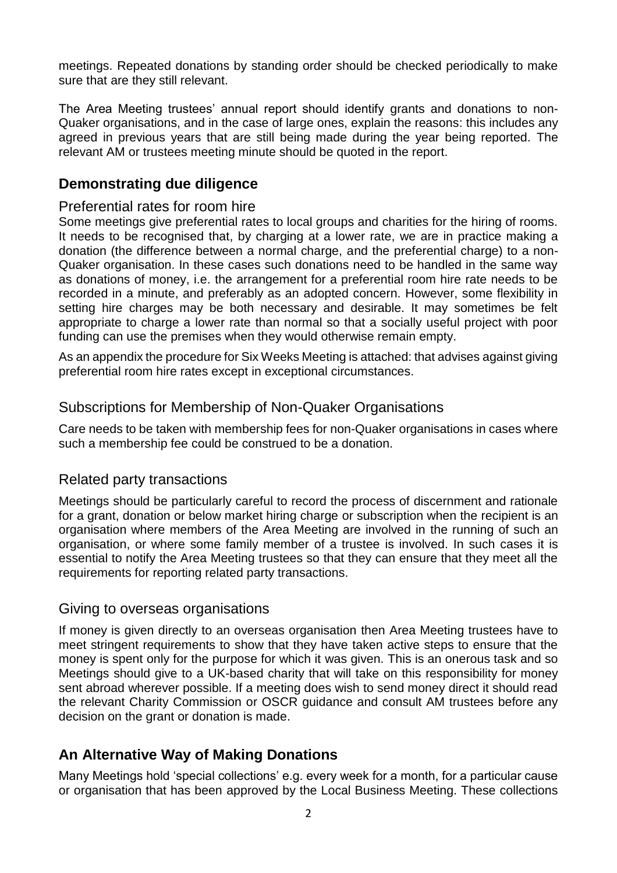meetings. Repeated donations by standing order should be checked periodically to make sure that are they still relevant.

The Area Meeting trustees' annual report should identify grants and donations to non-Quaker organisations, and in the case of large ones, explain the reasons: this includes any agreed in previous years that are still being made during the year being reported. The relevant AM or trustees meeting minute should be quoted in the report.

### **Demonstrating due diligence**

#### Preferential rates for room hire

Some meetings give preferential rates to local groups and charities for the hiring of rooms. It needs to be recognised that, by charging at a lower rate, we are in practice making a donation (the difference between a normal charge, and the preferential charge) to a non-Quaker organisation. In these cases such donations need to be handled in the same way as donations of money, i.e. the arrangement for a preferential room hire rate needs to be recorded in a minute, and preferably as an adopted concern. However, some flexibility in setting hire charges may be both necessary and desirable. It may sometimes be felt appropriate to charge a lower rate than normal so that a socially useful project with poor funding can use the premises when they would otherwise remain empty.

As an appendix the procedure for Six Weeks Meeting is attached: that advises against giving preferential room hire rates except in exceptional circumstances.

#### Subscriptions for Membership of Non-Quaker Organisations

Care needs to be taken with membership fees for non-Quaker organisations in cases where such a membership fee could be construed to be a donation.

#### Related party transactions

Meetings should be particularly careful to record the process of discernment and rationale for a grant, donation or below market hiring charge or subscription when the recipient is an organisation where members of the Area Meeting are involved in the running of such an organisation, or where some family member of a trustee is involved. In such cases it is essential to notify the Area Meeting trustees so that they can ensure that they meet all the requirements for reporting related party transactions.

#### Giving to overseas organisations

If money is given directly to an overseas organisation then Area Meeting trustees have to meet stringent requirements to show that they have taken active steps to ensure that the money is spent only for the purpose for which it was given. This is an onerous task and so Meetings should give to a UK-based charity that will take on this responsibility for money sent abroad wherever possible. If a meeting does wish to send money direct it should read the relevant Charity Commission or OSCR guidance and consult AM trustees before any decision on the grant or donation is made.

## **An Alternative Way of Making Donations**

Many Meetings hold 'special collections' e.g. every week for a month, for a particular cause or organisation that has been approved by the Local Business Meeting. These collections